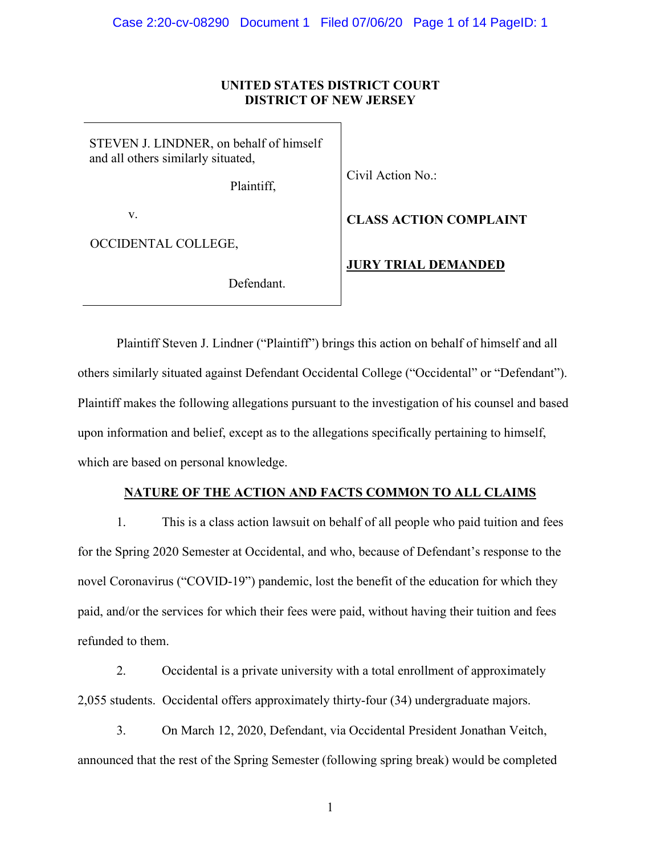# **UNITED STATES DISTRICT COURT DISTRICT OF NEW JERSEY**

STEVEN J. LINDNER, on behalf of himself and all others similarly situated,

Plaintiff,

Civil Action No.:

v.

OCCIDENTAL COLLEGE,

Defendant.

**CLASS ACTION COMPLAINT**

**JURY TRIAL DEMANDED**

Plaintiff Steven J. Lindner ("Plaintiff") brings this action on behalf of himself and all others similarly situated against Defendant Occidental College ("Occidental" or "Defendant"). Plaintiff makes the following allegations pursuant to the investigation of his counsel and based upon information and belief, except as to the allegations specifically pertaining to himself, which are based on personal knowledge.

## **NATURE OF THE ACTION AND FACTS COMMON TO ALL CLAIMS**

1. This is a class action lawsuit on behalf of all people who paid tuition and fees for the Spring 2020 Semester at Occidental, and who, because of Defendant's response to the novel Coronavirus ("COVID-19") pandemic, lost the benefit of the education for which they paid, and/or the services for which their fees were paid, without having their tuition and fees refunded to them.

2. Occidental is a private university with a total enrollment of approximately 2,055 students. Occidental offers approximately thirty-four (34) undergraduate majors.

3. On March 12, 2020, Defendant, via Occidental President Jonathan Veitch, announced that the rest of the Spring Semester (following spring break) would be completed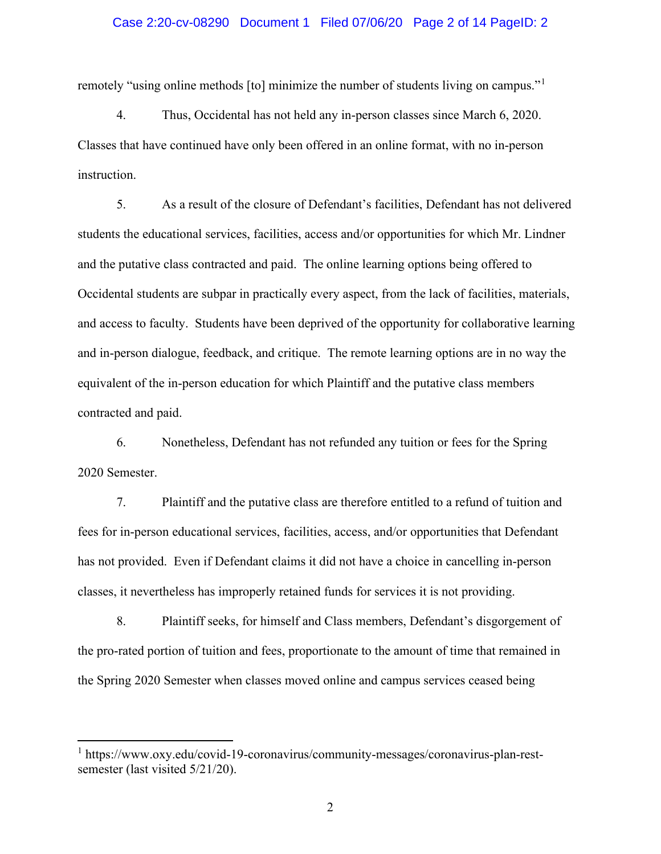### Case 2:20-cv-08290 Document 1 Filed 07/06/20 Page 2 of 14 PageID: 2

remotely "using online methods [to] minimize the number of students living on campus."<sup>[1](#page-1-0)</sup>

4. Thus, Occidental has not held any in-person classes since March 6, 2020. Classes that have continued have only been offered in an online format, with no in-person instruction.

5. As a result of the closure of Defendant's facilities, Defendant has not delivered students the educational services, facilities, access and/or opportunities for which Mr. Lindner and the putative class contracted and paid. The online learning options being offered to Occidental students are subpar in practically every aspect, from the lack of facilities, materials, and access to faculty. Students have been deprived of the opportunity for collaborative learning and in-person dialogue, feedback, and critique. The remote learning options are in no way the equivalent of the in-person education for which Plaintiff and the putative class members contracted and paid.

6. Nonetheless, Defendant has not refunded any tuition or fees for the Spring 2020 Semester.

7. Plaintiff and the putative class are therefore entitled to a refund of tuition and fees for in-person educational services, facilities, access, and/or opportunities that Defendant has not provided. Even if Defendant claims it did not have a choice in cancelling in-person classes, it nevertheless has improperly retained funds for services it is not providing.

8. Plaintiff seeks, for himself and Class members, Defendant's disgorgement of the pro-rated portion of tuition and fees, proportionate to the amount of time that remained in the Spring 2020 Semester when classes moved online and campus services ceased being

<span id="page-1-0"></span><sup>1</sup> https://www.oxy.edu/covid-19-coronavirus/community-messages/coronavirus-plan-restsemester (last visited 5/21/20).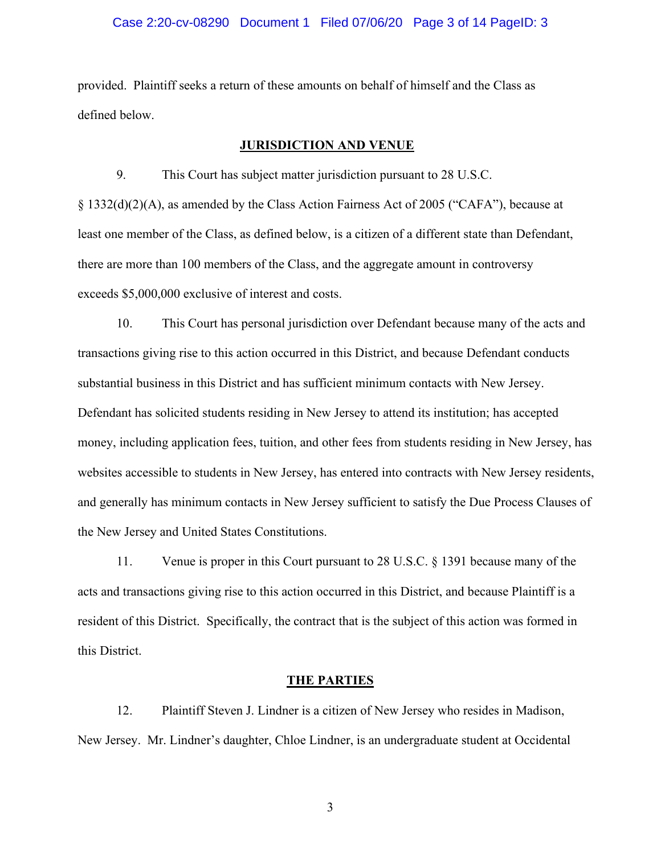### Case 2:20-cv-08290 Document 1 Filed 07/06/20 Page 3 of 14 PageID: 3

provided. Plaintiff seeks a return of these amounts on behalf of himself and the Class as defined below.

## **JURISDICTION AND VENUE**

9. This Court has subject matter jurisdiction pursuant to 28 U.S.C. § 1332(d)(2)(A), as amended by the Class Action Fairness Act of 2005 ("CAFA"), because at least one member of the Class, as defined below, is a citizen of a different state than Defendant, there are more than 100 members of the Class, and the aggregate amount in controversy exceeds \$5,000,000 exclusive of interest and costs.

10. This Court has personal jurisdiction over Defendant because many of the acts and transactions giving rise to this action occurred in this District, and because Defendant conducts substantial business in this District and has sufficient minimum contacts with New Jersey. Defendant has solicited students residing in New Jersey to attend its institution; has accepted money, including application fees, tuition, and other fees from students residing in New Jersey, has websites accessible to students in New Jersey, has entered into contracts with New Jersey residents, and generally has minimum contacts in New Jersey sufficient to satisfy the Due Process Clauses of the New Jersey and United States Constitutions.

11. Venue is proper in this Court pursuant to 28 U.S.C. § 1391 because many of the acts and transactions giving rise to this action occurred in this District, and because Plaintiff is a resident of this District. Specifically, the contract that is the subject of this action was formed in this District.

#### **THE PARTIES**

12. Plaintiff Steven J. Lindner is a citizen of New Jersey who resides in Madison, New Jersey. Mr. Lindner's daughter, Chloe Lindner, is an undergraduate student at Occidental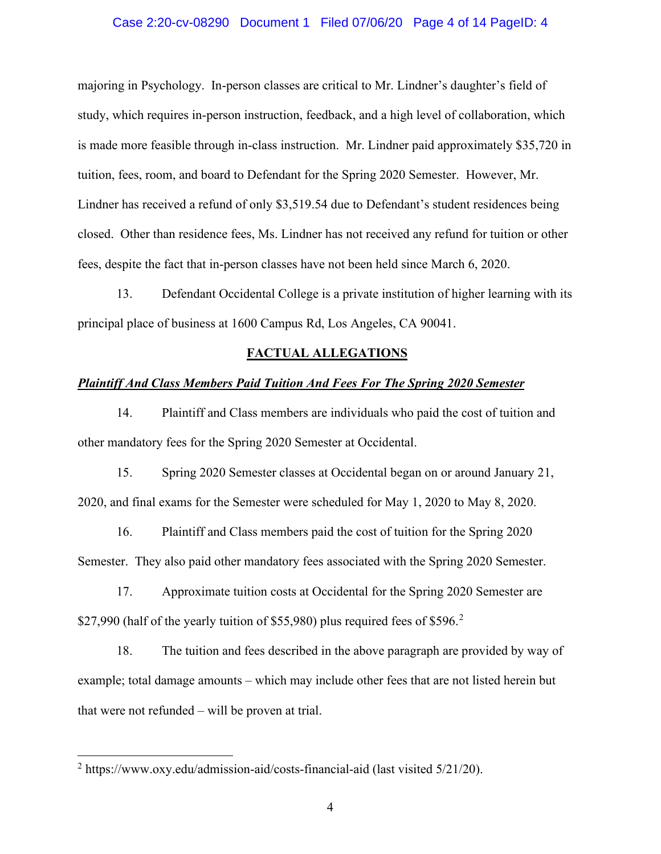### Case 2:20-cv-08290 Document 1 Filed 07/06/20 Page 4 of 14 PageID: 4

majoring in Psychology. In-person classes are critical to Mr. Lindner's daughter's field of study, which requires in-person instruction, feedback, and a high level of collaboration, which is made more feasible through in-class instruction. Mr. Lindner paid approximately \$35,720 in tuition, fees, room, and board to Defendant for the Spring 2020 Semester. However, Mr. Lindner has received a refund of only \$3,519.54 due to Defendant's student residences being closed. Other than residence fees, Ms. Lindner has not received any refund for tuition or other fees, despite the fact that in-person classes have not been held since March 6, 2020.

13. Defendant Occidental College is a private institution of higher learning with its principal place of business at 1600 Campus Rd, Los Angeles, CA 90041.

## **FACTUAL ALLEGATIONS**

### *Plaintiff And Class Members Paid Tuition And Fees For The Spring 2020 Semester*

14. Plaintiff and Class members are individuals who paid the cost of tuition and other mandatory fees for the Spring 2020 Semester at Occidental.

15. Spring 2020 Semester classes at Occidental began on or around January 21, 2020, and final exams for the Semester were scheduled for May 1, 2020 to May 8, 2020.

16. Plaintiff and Class members paid the cost of tuition for the Spring 2020 Semester. They also paid other mandatory fees associated with the Spring 2020 Semester.

17. Approximate tuition costs at Occidental for the Spring 2020 Semester are \$[2](#page-3-0)7,990 (half of the yearly tuition of \$55,980) plus required fees of \$596.<sup>2</sup>

18. The tuition and fees described in the above paragraph are provided by way of example; total damage amounts – which may include other fees that are not listed herein but that were not refunded – will be proven at trial.

<span id="page-3-0"></span><sup>2</sup> https://www.oxy.edu/admission-aid/costs-financial-aid (last visited 5/21/20).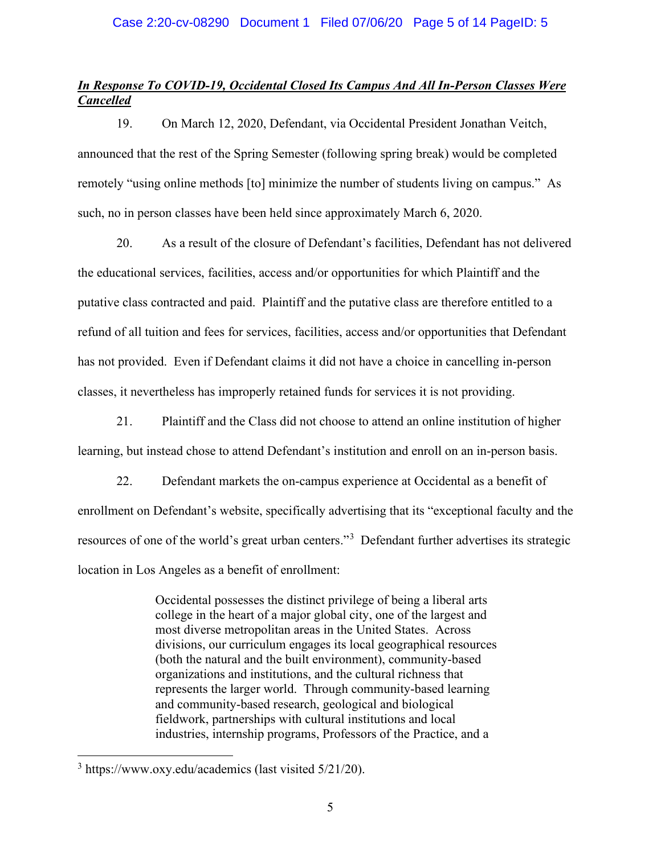## Case 2:20-cv-08290 Document 1 Filed 07/06/20 Page 5 of 14 PageID: 5

# *In Response To COVID-19, Occidental Closed Its Campus And All In-Person Classes Were Cancelled*

19. On March 12, 2020, Defendant, via Occidental President Jonathan Veitch, announced that the rest of the Spring Semester (following spring break) would be completed remotely "using online methods [to] minimize the number of students living on campus." As such, no in person classes have been held since approximately March 6, 2020.

20. As a result of the closure of Defendant's facilities, Defendant has not delivered the educational services, facilities, access and/or opportunities for which Plaintiff and the putative class contracted and paid. Plaintiff and the putative class are therefore entitled to a refund of all tuition and fees for services, facilities, access and/or opportunities that Defendant has not provided. Even if Defendant claims it did not have a choice in cancelling in-person classes, it nevertheless has improperly retained funds for services it is not providing.

21. Plaintiff and the Class did not choose to attend an online institution of higher learning, but instead chose to attend Defendant's institution and enroll on an in-person basis.

22. Defendant markets the on-campus experience at Occidental as a benefit of enrollment on Defendant's website, specifically advertising that its "exceptional faculty and the resources of one of the world's great urban centers."<sup>[3](#page-4-0)</sup> Defendant further advertises its strategic location in Los Angeles as a benefit of enrollment:

> Occidental possesses the distinct privilege of being a liberal arts college in the heart of a major global city, one of the largest and most diverse metropolitan areas in the United States. Across divisions, our curriculum engages its local geographical resources (both the natural and the built environment), community-based organizations and institutions, and the cultural richness that represents the larger world. Through community-based learning and community-based research, geological and biological fieldwork, partnerships with cultural institutions and local industries, internship programs, Professors of the Practice, and a

<span id="page-4-0"></span> $3$  https://www.oxy.edu/academics (last visited  $5/21/20$ ).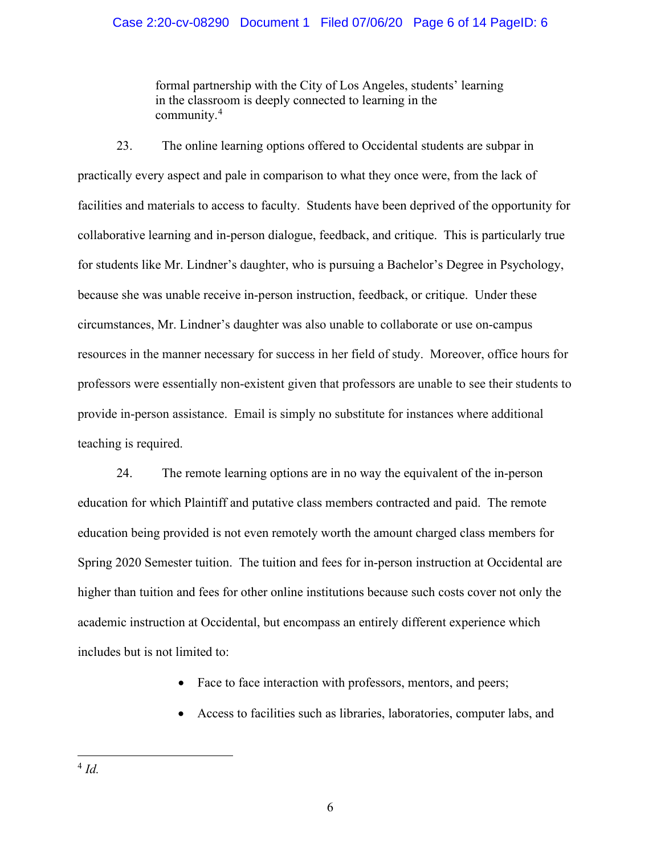## Case 2:20-cv-08290 Document 1 Filed 07/06/20 Page 6 of 14 PageID: 6

formal partnership with the City of Los Angeles, students' learning in the classroom is deeply connected to learning in the community.[4](#page-5-0)

23. The online learning options offered to Occidental students are subpar in practically every aspect and pale in comparison to what they once were, from the lack of facilities and materials to access to faculty. Students have been deprived of the opportunity for collaborative learning and in-person dialogue, feedback, and critique. This is particularly true for students like Mr. Lindner's daughter, who is pursuing a Bachelor's Degree in Psychology, because she was unable receive in-person instruction, feedback, or critique. Under these circumstances, Mr. Lindner's daughter was also unable to collaborate or use on-campus resources in the manner necessary for success in her field of study. Moreover, office hours for professors were essentially non-existent given that professors are unable to see their students to provide in-person assistance. Email is simply no substitute for instances where additional teaching is required.

24. The remote learning options are in no way the equivalent of the in-person education for which Plaintiff and putative class members contracted and paid. The remote education being provided is not even remotely worth the amount charged class members for Spring 2020 Semester tuition. The tuition and fees for in-person instruction at Occidental are higher than tuition and fees for other online institutions because such costs cover not only the academic instruction at Occidental, but encompass an entirely different experience which includes but is not limited to:

- Face to face interaction with professors, mentors, and peers;
- Access to facilities such as libraries, laboratories, computer labs, and

<span id="page-5-0"></span><sup>4</sup> *Id.*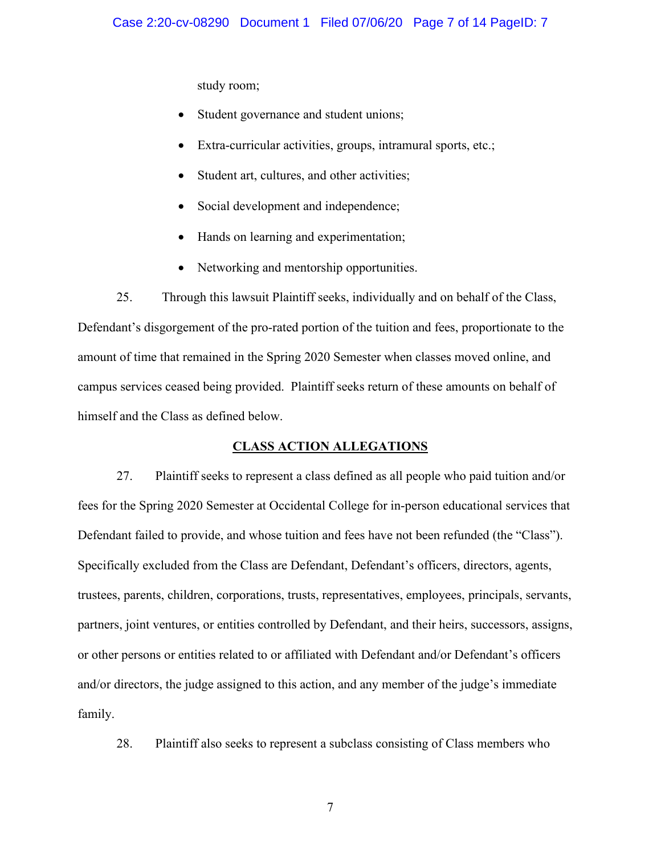study room;

- Student governance and student unions;
- Extra-curricular activities, groups, intramural sports, etc.;
- Student art, cultures, and other activities;
- Social development and independence;
- Hands on learning and experimentation;
- Networking and mentorship opportunities.

25. Through this lawsuit Plaintiff seeks, individually and on behalf of the Class, Defendant's disgorgement of the pro-rated portion of the tuition and fees, proportionate to the amount of time that remained in the Spring 2020 Semester when classes moved online, and campus services ceased being provided. Plaintiff seeks return of these amounts on behalf of himself and the Class as defined below.

# **CLASS ACTION ALLEGATIONS**

27. Plaintiff seeks to represent a class defined as all people who paid tuition and/or fees for the Spring 2020 Semester at Occidental College for in-person educational services that Defendant failed to provide, and whose tuition and fees have not been refunded (the "Class"). Specifically excluded from the Class are Defendant, Defendant's officers, directors, agents, trustees, parents, children, corporations, trusts, representatives, employees, principals, servants, partners, joint ventures, or entities controlled by Defendant, and their heirs, successors, assigns, or other persons or entities related to or affiliated with Defendant and/or Defendant's officers and/or directors, the judge assigned to this action, and any member of the judge's immediate family.

28. Plaintiff also seeks to represent a subclass consisting of Class members who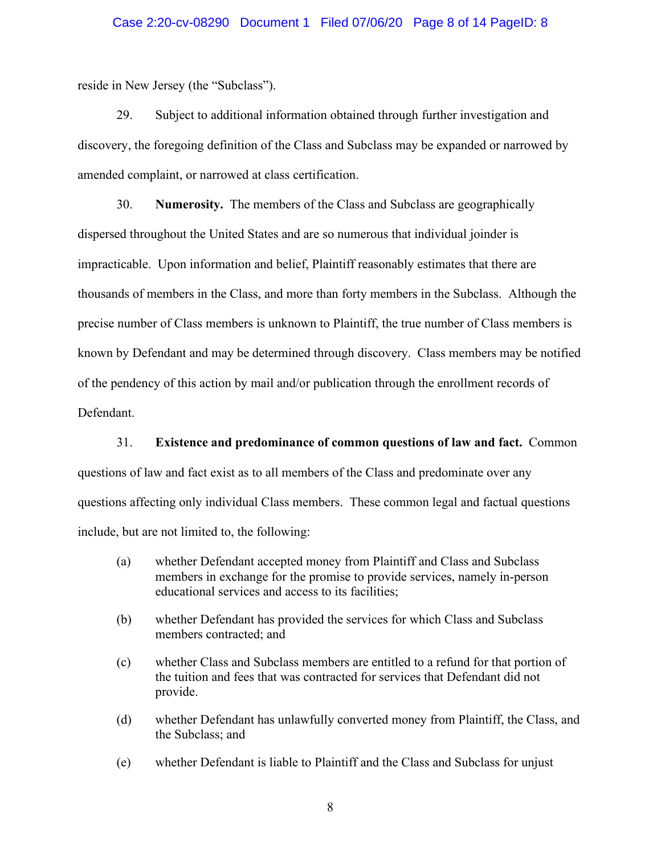## Case 2:20-cv-08290 Document 1 Filed 07/06/20 Page 8 of 14 PageID: 8

reside in New Jersey (the "Subclass").

29. Subject to additional information obtained through further investigation and discovery, the foregoing definition of the Class and Subclass may be expanded or narrowed by amended complaint, or narrowed at class certification.

30. **Numerosity.** The members of the Class and Subclass are geographically dispersed throughout the United States and are so numerous that individual joinder is impracticable. Upon information and belief, Plaintiff reasonably estimates that there are thousands of members in the Class, and more than forty members in the Subclass. Although the precise number of Class members is unknown to Plaintiff, the true number of Class members is known by Defendant and may be determined through discovery. Class members may be notified of the pendency of this action by mail and/or publication through the enrollment records of Defendant.

31. **Existence and predominance of common questions of law and fact.** Common questions of law and fact exist as to all members of the Class and predominate over any questions affecting only individual Class members. These common legal and factual questions include, but are not limited to, the following:

- (a) whether Defendant accepted money from Plaintiff and Class and Subclass members in exchange for the promise to provide services, namely in-person educational services and access to its facilities;
- (b) whether Defendant has provided the services for which Class and Subclass members contracted; and
- (c) whether Class and Subclass members are entitled to a refund for that portion of the tuition and fees that was contracted for services that Defendant did not provide.
- (d) whether Defendant has unlawfully converted money from Plaintiff, the Class, and the Subclass; and
- (e) whether Defendant is liable to Plaintiff and the Class and Subclass for unjust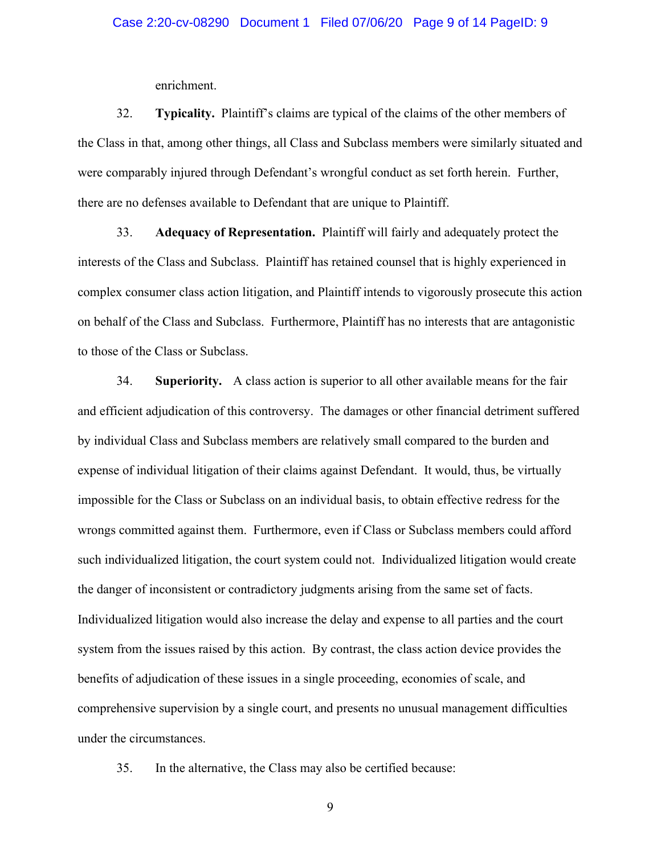enrichment.

32. **Typicality.** Plaintiff's claims are typical of the claims of the other members of the Class in that, among other things, all Class and Subclass members were similarly situated and were comparably injured through Defendant's wrongful conduct as set forth herein. Further, there are no defenses available to Defendant that are unique to Plaintiff.

33. **Adequacy of Representation.** Plaintiff will fairly and adequately protect the interests of the Class and Subclass. Plaintiff has retained counsel that is highly experienced in complex consumer class action litigation, and Plaintiff intends to vigorously prosecute this action on behalf of the Class and Subclass. Furthermore, Plaintiff has no interests that are antagonistic to those of the Class or Subclass.

34. **Superiority.** A class action is superior to all other available means for the fair and efficient adjudication of this controversy. The damages or other financial detriment suffered by individual Class and Subclass members are relatively small compared to the burden and expense of individual litigation of their claims against Defendant. It would, thus, be virtually impossible for the Class or Subclass on an individual basis, to obtain effective redress for the wrongs committed against them. Furthermore, even if Class or Subclass members could afford such individualized litigation, the court system could not. Individualized litigation would create the danger of inconsistent or contradictory judgments arising from the same set of facts. Individualized litigation would also increase the delay and expense to all parties and the court system from the issues raised by this action. By contrast, the class action device provides the benefits of adjudication of these issues in a single proceeding, economies of scale, and comprehensive supervision by a single court, and presents no unusual management difficulties under the circumstances.

35. In the alternative, the Class may also be certified because: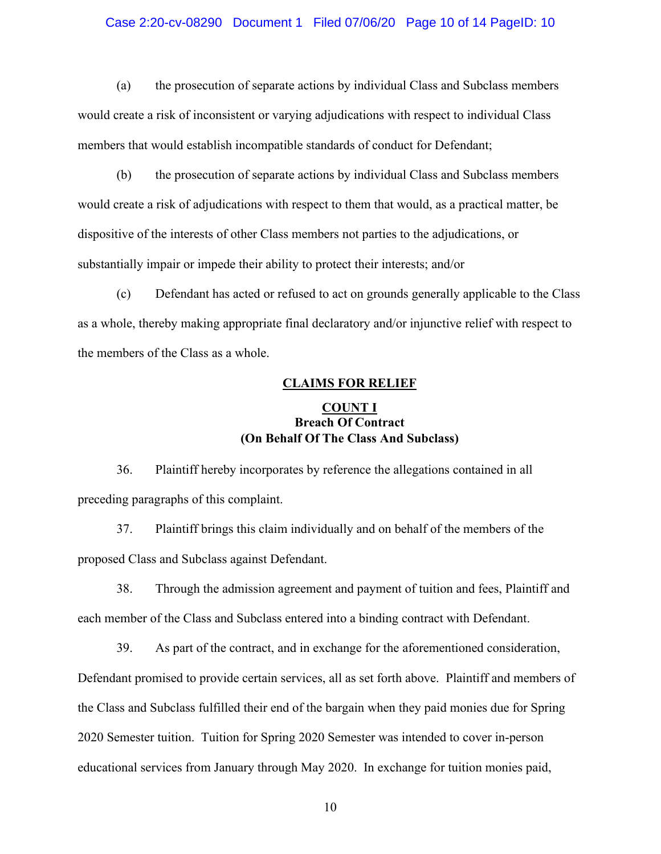## Case 2:20-cv-08290 Document 1 Filed 07/06/20 Page 10 of 14 PageID: 10

(a) the prosecution of separate actions by individual Class and Subclass members would create a risk of inconsistent or varying adjudications with respect to individual Class members that would establish incompatible standards of conduct for Defendant;

(b) the prosecution of separate actions by individual Class and Subclass members would create a risk of adjudications with respect to them that would, as a practical matter, be dispositive of the interests of other Class members not parties to the adjudications, or substantially impair or impede their ability to protect their interests; and/or

(c) Defendant has acted or refused to act on grounds generally applicable to the Class as a whole, thereby making appropriate final declaratory and/or injunctive relief with respect to the members of the Class as a whole.

## **CLAIMS FOR RELIEF**

# **COUNT I Breach Of Contract (On Behalf Of The Class And Subclass)**

36. Plaintiff hereby incorporates by reference the allegations contained in all preceding paragraphs of this complaint.

37. Plaintiff brings this claim individually and on behalf of the members of the proposed Class and Subclass against Defendant.

38. Through the admission agreement and payment of tuition and fees, Plaintiff and each member of the Class and Subclass entered into a binding contract with Defendant.

39. As part of the contract, and in exchange for the aforementioned consideration, Defendant promised to provide certain services, all as set forth above. Plaintiff and members of the Class and Subclass fulfilled their end of the bargain when they paid monies due for Spring 2020 Semester tuition. Tuition for Spring 2020 Semester was intended to cover in-person educational services from January through May 2020. In exchange for tuition monies paid,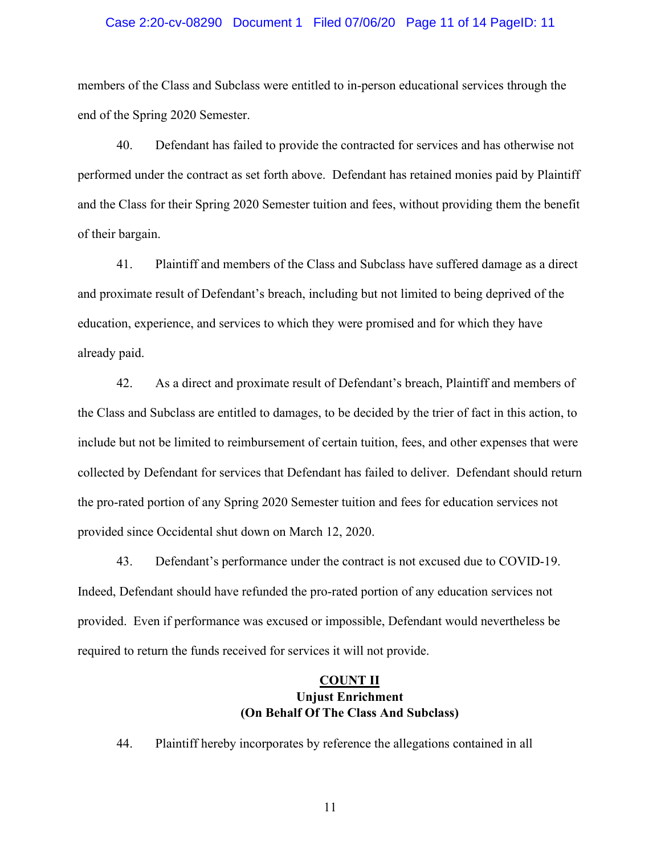## Case 2:20-cv-08290 Document 1 Filed 07/06/20 Page 11 of 14 PageID: 11

members of the Class and Subclass were entitled to in-person educational services through the end of the Spring 2020 Semester.

40. Defendant has failed to provide the contracted for services and has otherwise not performed under the contract as set forth above. Defendant has retained monies paid by Plaintiff and the Class for their Spring 2020 Semester tuition and fees, without providing them the benefit of their bargain.

41. Plaintiff and members of the Class and Subclass have suffered damage as a direct and proximate result of Defendant's breach, including but not limited to being deprived of the education, experience, and services to which they were promised and for which they have already paid.

42. As a direct and proximate result of Defendant's breach, Plaintiff and members of the Class and Subclass are entitled to damages, to be decided by the trier of fact in this action, to include but not be limited to reimbursement of certain tuition, fees, and other expenses that were collected by Defendant for services that Defendant has failed to deliver. Defendant should return the pro-rated portion of any Spring 2020 Semester tuition and fees for education services not provided since Occidental shut down on March 12, 2020.

43. Defendant's performance under the contract is not excused due to COVID-19. Indeed, Defendant should have refunded the pro-rated portion of any education services not provided. Even if performance was excused or impossible, Defendant would nevertheless be required to return the funds received for services it will not provide.

# **COUNT II Unjust Enrichment (On Behalf Of The Class And Subclass)**

44. Plaintiff hereby incorporates by reference the allegations contained in all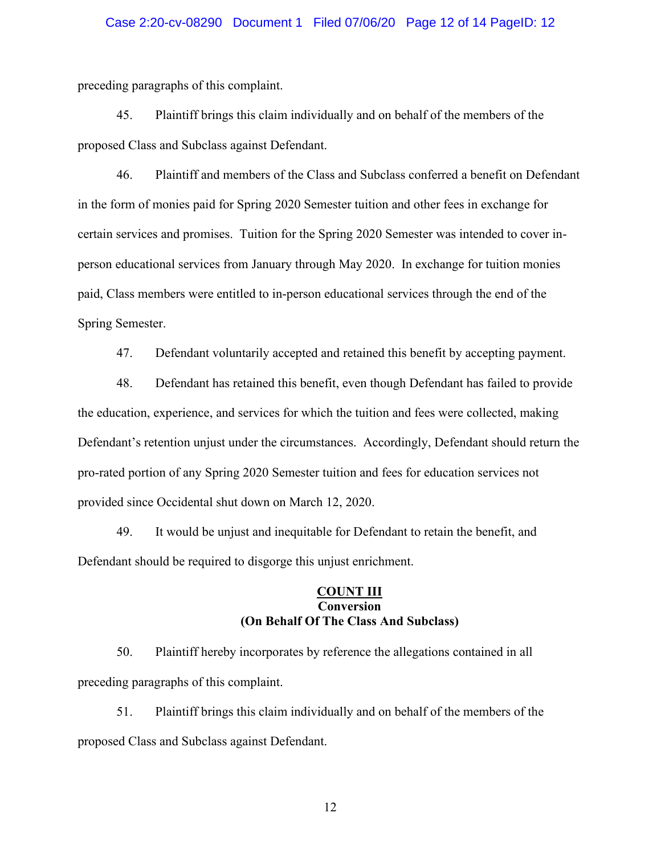## Case 2:20-cv-08290 Document 1 Filed 07/06/20 Page 12 of 14 PageID: 12

preceding paragraphs of this complaint.

45. Plaintiff brings this claim individually and on behalf of the members of the proposed Class and Subclass against Defendant.

46. Plaintiff and members of the Class and Subclass conferred a benefit on Defendant in the form of monies paid for Spring 2020 Semester tuition and other fees in exchange for certain services and promises. Tuition for the Spring 2020 Semester was intended to cover inperson educational services from January through May 2020. In exchange for tuition monies paid, Class members were entitled to in-person educational services through the end of the Spring Semester.

47. Defendant voluntarily accepted and retained this benefit by accepting payment.

48. Defendant has retained this benefit, even though Defendant has failed to provide the education, experience, and services for which the tuition and fees were collected, making Defendant's retention unjust under the circumstances. Accordingly, Defendant should return the pro-rated portion of any Spring 2020 Semester tuition and fees for education services not provided since Occidental shut down on March 12, 2020.

49. It would be unjust and inequitable for Defendant to retain the benefit, and Defendant should be required to disgorge this unjust enrichment.

## **COUNT III Conversion (On Behalf Of The Class And Subclass)**

50. Plaintiff hereby incorporates by reference the allegations contained in all preceding paragraphs of this complaint.

51. Plaintiff brings this claim individually and on behalf of the members of the proposed Class and Subclass against Defendant.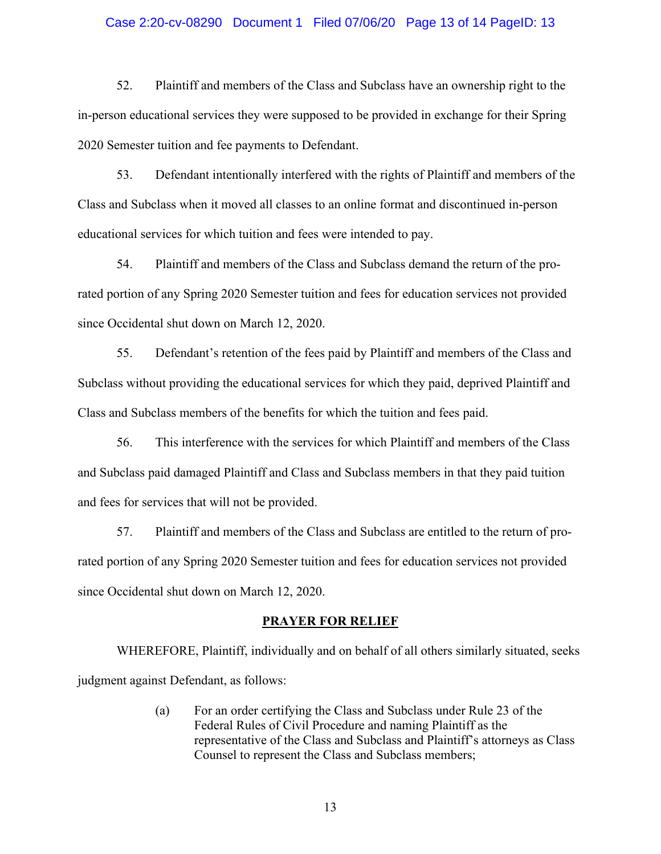## Case 2:20-cv-08290 Document 1 Filed 07/06/20 Page 13 of 14 PageID: 13

52. Plaintiff and members of the Class and Subclass have an ownership right to the in-person educational services they were supposed to be provided in exchange for their Spring 2020 Semester tuition and fee payments to Defendant.

53. Defendant intentionally interfered with the rights of Plaintiff and members of the Class and Subclass when it moved all classes to an online format and discontinued in-person educational services for which tuition and fees were intended to pay.

54. Plaintiff and members of the Class and Subclass demand the return of the prorated portion of any Spring 2020 Semester tuition and fees for education services not provided since Occidental shut down on March 12, 2020.

55. Defendant's retention of the fees paid by Plaintiff and members of the Class and Subclass without providing the educational services for which they paid, deprived Plaintiff and Class and Subclass members of the benefits for which the tuition and fees paid.

56. This interference with the services for which Plaintiff and members of the Class and Subclass paid damaged Plaintiff and Class and Subclass members in that they paid tuition and fees for services that will not be provided.

57. Plaintiff and members of the Class and Subclass are entitled to the return of prorated portion of any Spring 2020 Semester tuition and fees for education services not provided since Occidental shut down on March 12, 2020.

### **PRAYER FOR RELIEF**

WHEREFORE, Plaintiff, individually and on behalf of all others similarly situated, seeks judgment against Defendant, as follows:

> (a) For an order certifying the Class and Subclass under Rule 23 of the Federal Rules of Civil Procedure and naming Plaintiff as the representative of the Class and Subclass and Plaintiff's attorneys as Class Counsel to represent the Class and Subclass members;